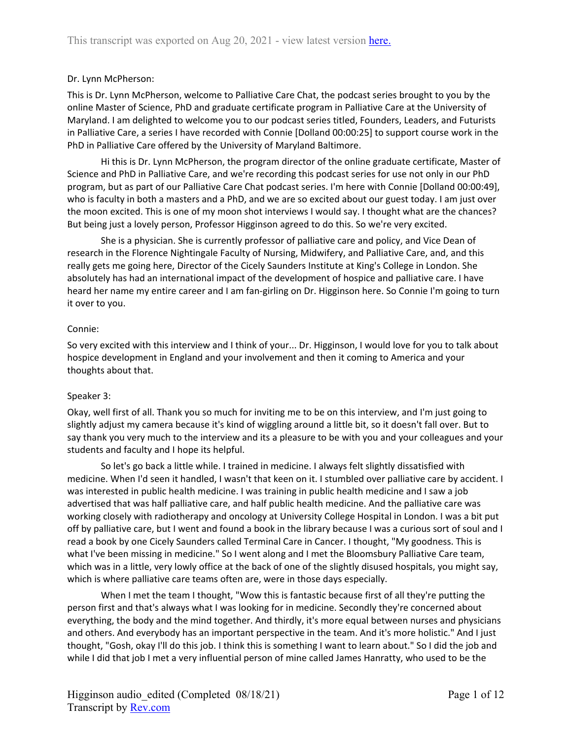## Dr. Lynn McPherson:

This is Dr. Lynn McPherson, welcome to Palliative Care Chat, the podcast series brought to you by the online Master of Science, PhD and graduate certificate program in Palliative Care at the University of Maryland. I am delighted to welcome you to our podcast series titled, Founders, Leaders, and Futurists in Palliative Care, a series I have recorded with Connie [Dolland 00:00:25] to support course work in the PhD in Palliative Care offered by the University of Maryland Baltimore.

Hi this is Dr. Lynn McPherson, the program director of the online graduate certificate, Master of Science and PhD in Palliative Care, and we're recording this podcast series for use not only in our PhD program, but as part of our Palliative Care Chat podcast series. I'm here with Connie [Dolland 00:00:49], who is faculty in both a masters and a PhD, and we are so excited about our guest today. I am just over the moon excited. This is one of my moon shot interviews I would say. I thought what are the chances? But being just a lovely person, Professor Higginson agreed to do this. So we're very excited.

She is a physician. She is currently professor of palliative care and policy, and Vice Dean of research in the Florence Nightingale Faculty of Nursing, Midwifery, and Palliative Care, and, and this really gets me going here, Director of the Cicely Saunders Institute at King's College in London. She absolutely has had an international impact of the development of hospice and palliative care. I have heard her name my entire career and I am fan-girling on Dr. Higginson here. So Connie I'm going to turn it over to you.

# Connie:

So very excited with this interview and I think of your... Dr. Higginson, I would love for you to talk about hospice development in England and your involvement and then it coming to America and your thoughts about that.

## Speaker 3:

Okay, well first of all. Thank you so much for inviting me to be on this interview, and I'm just going to slightly adjust my camera because it's kind of wiggling around a little bit, so it doesn't fall over. But to say thank you very much to the interview and its a pleasure to be with you and your colleagues and your students and faculty and I hope its helpful.

So let's go back a little while. I trained in medicine. I always felt slightly dissatisfied with medicine. When I'd seen it handled, I wasn't that keen on it. I stumbled over palliative care by accident. I was interested in public health medicine. I was training in public health medicine and I saw a job advertised that was half palliative care, and half public health medicine. And the palliative care was working closely with radiotherapy and oncology at University College Hospital in London. I was a bit put off by palliative care, but I went and found a book in the library because I was a curious sort of soul and I read a book by one Cicely Saunders called Terminal Care in Cancer. I thought, "My goodness. This is what I've been missing in medicine." So I went along and I met the Bloomsbury Palliative Care team, which was in a little, very lowly office at the back of one of the slightly disused hospitals, you might say, which is where palliative care teams often are, were in those days especially.

When I met the team I thought, "Wow this is fantastic because first of all they're putting the person first and that's always what I was looking for in medicine. Secondly they're concerned about everything, the body and the mind together. And thirdly, it's more equal between nurses and physicians and others. And everybody has an important perspective in the team. And it's more holistic." And I just thought, "Gosh, okay I'll do this job. I think this is something I want to learn about." So I did the job and while I did that job I met a very influential person of mine called James Hanratty, who used to be the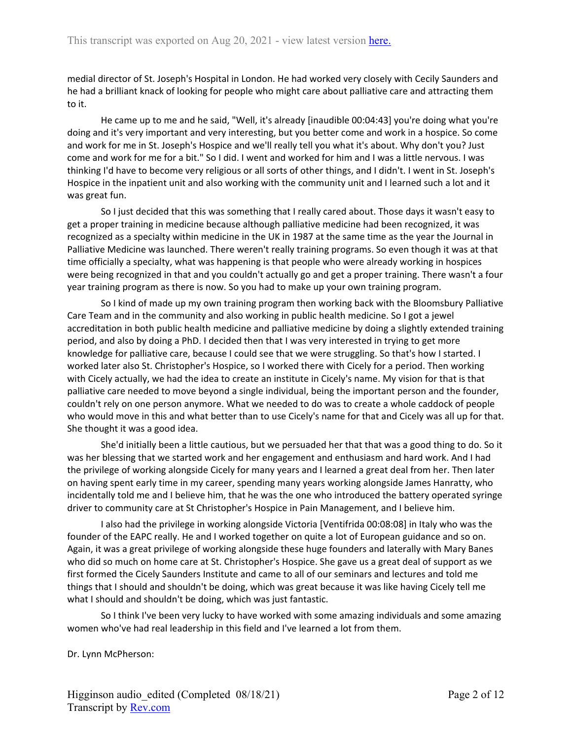medial director of St. Joseph's Hospital in London. He had worked very closely with Cecily Saunders and he had a brilliant knack of looking for people who might care about palliative care and attracting them to it.

He came up to me and he said, "Well, it's already [inaudible 00:04:43] you're doing what you're doing and it's very important and very interesting, but you better come and work in a hospice. So come and work for me in St. Joseph's Hospice and we'll really tell you what it's about. Why don't you? Just come and work for me for a bit." So I did. I went and worked for him and I was a little nervous. I was thinking I'd have to become very religious or all sorts of other things, and I didn't. I went in St. Joseph's Hospice in the inpatient unit and also working with the community unit and I learned such a lot and it was great fun.

So I just decided that this was something that I really cared about. Those days it wasn't easy to get a proper training in medicine because although palliative medicine had been recognized, it was recognized as a specialty within medicine in the UK in 1987 at the same time as the year the Journal in Palliative Medicine was launched. There weren't really training programs. So even though it was at that time officially a specialty, what was happening is that people who were already working in hospices were being recognized in that and you couldn't actually go and get a proper training. There wasn't a four year training program as there is now. So you had to make up your own training program.

So I kind of made up my own training program then working back with the Bloomsbury Palliative Care Team and in the community and also working in public health medicine. So I got a jewel accreditation in both public health medicine and palliative medicine by doing a slightly extended training period, and also by doing a PhD. I decided then that I was very interested in trying to get more knowledge for palliative care, because I could see that we were struggling. So that's how I started. I worked later also St. Christopher's Hospice, so I worked there with Cicely for a period. Then working with Cicely actually, we had the idea to create an institute in Cicely's name. My vision for that is that palliative care needed to move beyond a single individual, being the important person and the founder, couldn't rely on one person anymore. What we needed to do was to create a whole caddock of people who would move in this and what better than to use Cicely's name for that and Cicely was all up for that. She thought it was a good idea.

She'd initially been a little cautious, but we persuaded her that that was a good thing to do. So it was her blessing that we started work and her engagement and enthusiasm and hard work. And I had the privilege of working alongside Cicely for many years and I learned a great deal from her. Then later on having spent early time in my career, spending many years working alongside James Hanratty, who incidentally told me and I believe him, that he was the one who introduced the battery operated syringe driver to community care at St Christopher's Hospice in Pain Management, and I believe him.

I also had the privilege in working alongside Victoria [Ventifrida 00:08:08] in Italy who was the founder of the EAPC really. He and I worked together on quite a lot of European guidance and so on. Again, it was a great privilege of working alongside these huge founders and laterally with Mary Banes who did so much on home care at St. Christopher's Hospice. She gave us a great deal of support as we first formed the Cicely Saunders Institute and came to all of our seminars and lectures and told me things that I should and shouldn't be doing, which was great because it was like having Cicely tell me what I should and shouldn't be doing, which was just fantastic.

So I think I've been very lucky to have worked with some amazing individuals and some amazing women who've had real leadership in this field and I've learned a lot from them.

Dr. Lynn McPherson: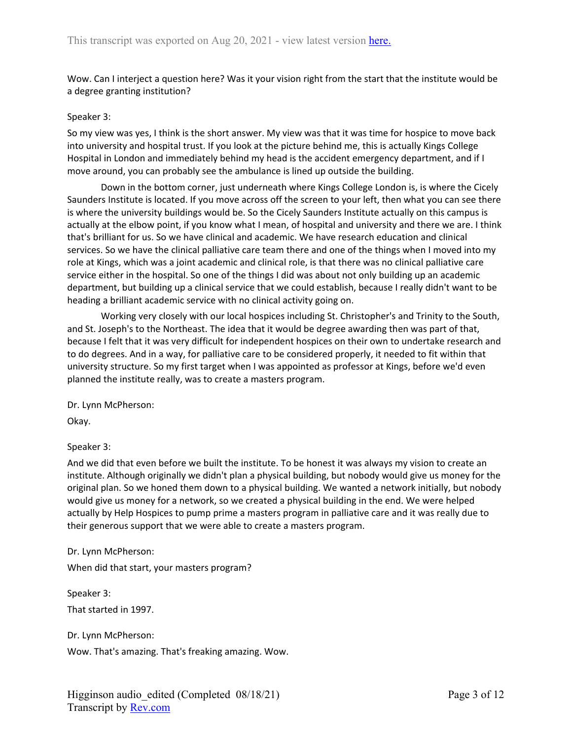Wow. Can I interject a question here? Was it your vision right from the start that the institute would be a degree granting institution?

#### Speaker 3:

So my view was yes, I think is the short answer. My view was that it was time for hospice to move back into university and hospital trust. If you look at the picture behind me, this is actually Kings College Hospital in London and immediately behind my head is the accident emergency department, and if I move around, you can probably see the ambulance is lined up outside the building.

Down in the bottom corner, just underneath where Kings College London is, is where the Cicely Saunders Institute is located. If you move across off the screen to your left, then what you can see there is where the university buildings would be. So the Cicely Saunders Institute actually on this campus is actually at the elbow point, if you know what I mean, of hospital and university and there we are. I think that's brilliant for us. So we have clinical and academic. We have research education and clinical services. So we have the clinical palliative care team there and one of the things when I moved into my role at Kings, which was a joint academic and clinical role, is that there was no clinical palliative care service either in the hospital. So one of the things I did was about not only building up an academic department, but building up a clinical service that we could establish, because I really didn't want to be heading a brilliant academic service with no clinical activity going on.

Working very closely with our local hospices including St. Christopher's and Trinity to the South, and St. Joseph's to the Northeast. The idea that it would be degree awarding then was part of that, because I felt that it was very difficult for independent hospices on their own to undertake research and to do degrees. And in a way, for palliative care to be considered properly, it needed to fit within that university structure. So my first target when I was appointed as professor at Kings, before we'd even planned the institute really, was to create a masters program.

Dr. Lynn McPherson:

Okay.

Speaker 3:

And we did that even before we built the institute. To be honest it was always my vision to create an institute. Although originally we didn't plan a physical building, but nobody would give us money for the original plan. So we honed them down to a physical building. We wanted a network initially, but nobody would give us money for a network, so we created a physical building in the end. We were helped actually by Help Hospices to pump prime a masters program in palliative care and it was really due to their generous support that we were able to create a masters program.

Dr. Lynn McPherson:

When did that start, your masters program?

Speaker 3: That started in 1997.

Dr. Lynn McPherson:

Wow. That's amazing. That's freaking amazing. Wow.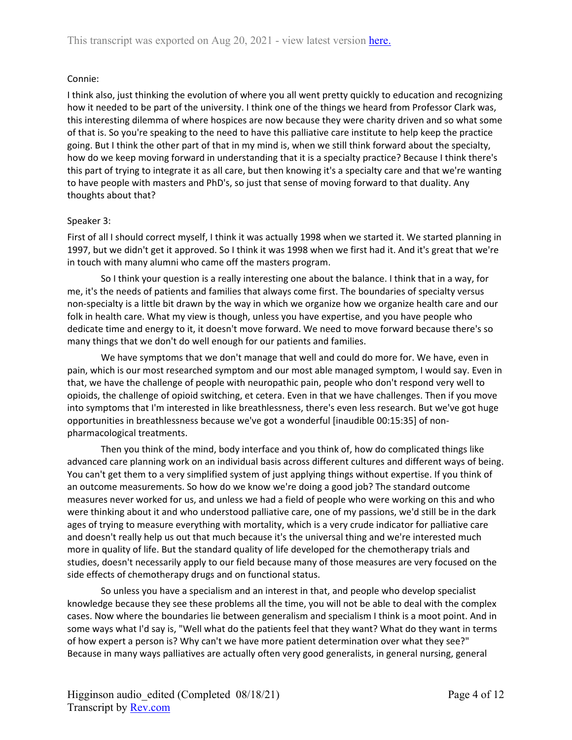# Connie:

I think also, just thinking the evolution of where you all went pretty quickly to education and recognizing how it needed to be part of the university. I think one of the things we heard from Professor Clark was, this interesting dilemma of where hospices are now because they were charity driven and so what some of that is. So you're speaking to the need to have this palliative care institute to help keep the practice going. But I think the other part of that in my mind is, when we still think forward about the specialty, how do we keep moving forward in understanding that it is a specialty practice? Because I think there's this part of trying to integrate it as all care, but then knowing it's a specialty care and that we're wanting to have people with masters and PhD's, so just that sense of moving forward to that duality. Any thoughts about that?

# Speaker 3:

First of all I should correct myself, I think it was actually 1998 when we started it. We started planning in 1997, but we didn't get it approved. So I think it was 1998 when we first had it. And it's great that we're in touch with many alumni who came off the masters program.

So I think your question is a really interesting one about the balance. I think that in a way, for me, it's the needs of patients and families that always come first. The boundaries of specialty versus non-specialty is a little bit drawn by the way in which we organize how we organize health care and our folk in health care. What my view is though, unless you have expertise, and you have people who dedicate time and energy to it, it doesn't move forward. We need to move forward because there's so many things that we don't do well enough for our patients and families.

We have symptoms that we don't manage that well and could do more for. We have, even in pain, which is our most researched symptom and our most able managed symptom, I would say. Even in that, we have the challenge of people with neuropathic pain, people who don't respond very well to opioids, the challenge of opioid switching, et cetera. Even in that we have challenges. Then if you move into symptoms that I'm interested in like breathlessness, there's even less research. But we've got huge opportunities in breathlessness because we've got a wonderful [inaudible 00:15:35] of nonpharmacological treatments.

Then you think of the mind, body interface and you think of, how do complicated things like advanced care planning work on an individual basis across different cultures and different ways of being. You can't get them to a very simplified system of just applying things without expertise. If you think of an outcome measurements. So how do we know we're doing a good job? The standard outcome measures never worked for us, and unless we had a field of people who were working on this and who were thinking about it and who understood palliative care, one of my passions, we'd still be in the dark ages of trying to measure everything with mortality, which is a very crude indicator for palliative care and doesn't really help us out that much because it's the universal thing and we're interested much more in quality of life. But the standard quality of life developed for the chemotherapy trials and studies, doesn't necessarily apply to our field because many of those measures are very focused on the side effects of chemotherapy drugs and on functional status.

So unless you have a specialism and an interest in that, and people who develop specialist knowledge because they see these problems all the time, you will not be able to deal with the complex cases. Now where the boundaries lie between generalism and specialism I think is a moot point. And in some ways what I'd say is, "Well what do the patients feel that they want? What do they want in terms of how expert a person is? Why can't we have more patient determination over what they see?" Because in many ways palliatives are actually often very good generalists, in general nursing, general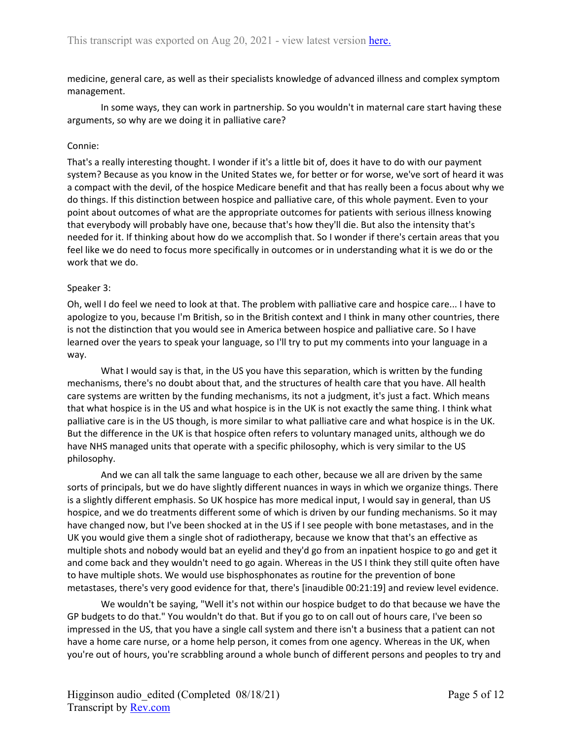medicine, general care, as well as their specialists knowledge of advanced illness and complex symptom management.

In some ways, they can work in partnership. So you wouldn't in maternal care start having these arguments, so why are we doing it in palliative care?

## Connie:

That's a really interesting thought. I wonder if it's a little bit of, does it have to do with our payment system? Because as you know in the United States we, for better or for worse, we've sort of heard it was a compact with the devil, of the hospice Medicare benefit and that has really been a focus about why we do things. If this distinction between hospice and palliative care, of this whole payment. Even to your point about outcomes of what are the appropriate outcomes for patients with serious illness knowing that everybody will probably have one, because that's how they'll die. But also the intensity that's needed for it. If thinking about how do we accomplish that. So I wonder if there's certain areas that you feel like we do need to focus more specifically in outcomes or in understanding what it is we do or the work that we do.

## Speaker 3:

Oh, well I do feel we need to look at that. The problem with palliative care and hospice care... I have to apologize to you, because I'm British, so in the British context and I think in many other countries, there is not the distinction that you would see in America between hospice and palliative care. So I have learned over the years to speak your language, so I'll try to put my comments into your language in a way.

What I would say is that, in the US you have this separation, which is written by the funding mechanisms, there's no doubt about that, and the structures of health care that you have. All health care systems are written by the funding mechanisms, its not a judgment, it's just a fact. Which means that what hospice is in the US and what hospice is in the UK is not exactly the same thing. I think what palliative care is in the US though, is more similar to what palliative care and what hospice is in the UK. But the difference in the UK is that hospice often refers to voluntary managed units, although we do have NHS managed units that operate with a specific philosophy, which is very similar to the US philosophy.

And we can all talk the same language to each other, because we all are driven by the same sorts of principals, but we do have slightly different nuances in ways in which we organize things. There is a slightly different emphasis. So UK hospice has more medical input, I would say in general, than US hospice, and we do treatments different some of which is driven by our funding mechanisms. So it may have changed now, but I've been shocked at in the US if I see people with bone metastases, and in the UK you would give them a single shot of radiotherapy, because we know that that's an effective as multiple shots and nobody would bat an eyelid and they'd go from an inpatient hospice to go and get it and come back and they wouldn't need to go again. Whereas in the US I think they still quite often have to have multiple shots. We would use bisphosphonates as routine for the prevention of bone metastases, there's very good evidence for that, there's [inaudible 00:21:19] and review level evidence.

We wouldn't be saying, "Well it's not within our hospice budget to do that because we have the GP budgets to do that." You wouldn't do that. But if you go to on call out of hours care, I've been so impressed in the US, that you have a single call system and there isn't a business that a patient can not have a home care nurse, or a home help person, it comes from one agency. Whereas in the UK, when you're out of hours, you're scrabbling around a whole bunch of different persons and peoples to try and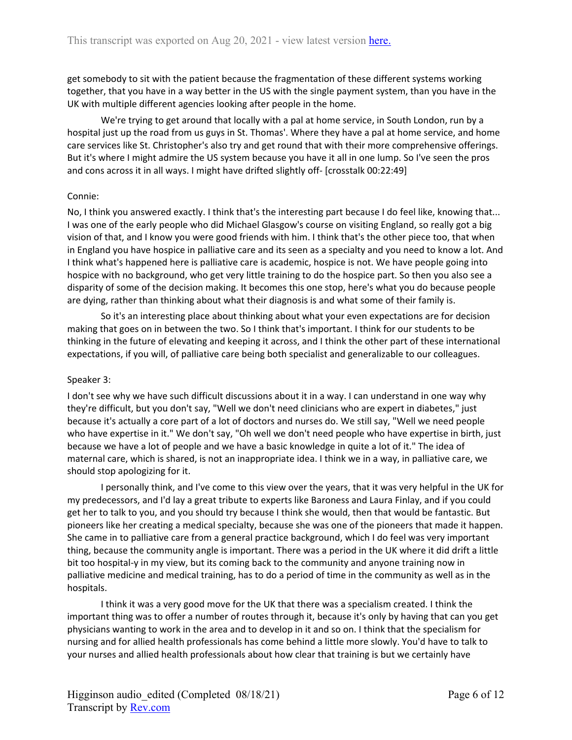get somebody to sit with the patient because the fragmentation of these different systems working together, that you have in a way better in the US with the single payment system, than you have in the UK with multiple different agencies looking after people in the home.

We're trying to get around that locally with a pal at home service, in South London, run by a hospital just up the road from us guys in St. Thomas'. Where they have a pal at home service, and home care services like St. Christopher's also try and get round that with their more comprehensive offerings. But it's where I might admire the US system because you have it all in one lump. So I've seen the pros and cons across it in all ways. I might have drifted slightly off- [crosstalk 00:22:49]

# Connie:

No, I think you answered exactly. I think that's the interesting part because I do feel like, knowing that... I was one of the early people who did Michael Glasgow's course on visiting England, so really got a big vision of that, and I know you were good friends with him. I think that's the other piece too, that when in England you have hospice in palliative care and its seen as a specialty and you need to know a lot. And I think what's happened here is palliative care is academic, hospice is not. We have people going into hospice with no background, who get very little training to do the hospice part. So then you also see a disparity of some of the decision making. It becomes this one stop, here's what you do because people are dying, rather than thinking about what their diagnosis is and what some of their family is.

So it's an interesting place about thinking about what your even expectations are for decision making that goes on in between the two. So I think that's important. I think for our students to be thinking in the future of elevating and keeping it across, and I think the other part of these international expectations, if you will, of palliative care being both specialist and generalizable to our colleagues.

# Speaker 3:

I don't see why we have such difficult discussions about it in a way. I can understand in one way why they're difficult, but you don't say, "Well we don't need clinicians who are expert in diabetes," just because it's actually a core part of a lot of doctors and nurses do. We still say, "Well we need people who have expertise in it." We don't say, "Oh well we don't need people who have expertise in birth, just because we have a lot of people and we have a basic knowledge in quite a lot of it." The idea of maternal care, which is shared, is not an inappropriate idea. I think we in a way, in palliative care, we should stop apologizing for it.

I personally think, and I've come to this view over the years, that it was very helpful in the UK for my predecessors, and I'd lay a great tribute to experts like Baroness and Laura Finlay, and if you could get her to talk to you, and you should try because I think she would, then that would be fantastic. But pioneers like her creating a medical specialty, because she was one of the pioneers that made it happen. She came in to palliative care from a general practice background, which I do feel was very important thing, because the community angle is important. There was a period in the UK where it did drift a little bit too hospital-y in my view, but its coming back to the community and anyone training now in palliative medicine and medical training, has to do a period of time in the community as well as in the hospitals.

I think it was a very good move for the UK that there was a specialism created. I think the important thing was to offer a number of routes through it, because it's only by having that can you get physicians wanting to work in the area and to develop in it and so on. I think that the specialism for nursing and for allied health professionals has come behind a little more slowly. You'd have to talk to your nurses and allied health professionals about how clear that training is but we certainly have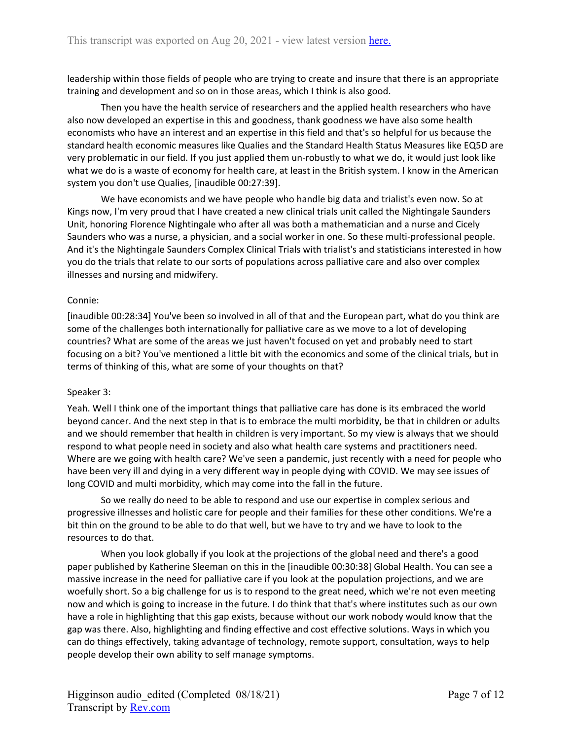leadership within those fields of people who are trying to create and insure that there is an appropriate training and development and so on in those areas, which I think is also good.

Then you have the health service of researchers and the applied health researchers who have also now developed an expertise in this and goodness, thank goodness we have also some health economists who have an interest and an expertise in this field and that's so helpful for us because the standard health economic measures like Qualies and the Standard Health Status Measures like EQ5D are very problematic in our field. If you just applied them un-robustly to what we do, it would just look like what we do is a waste of economy for health care, at least in the British system. I know in the American system you don't use Qualies, [inaudible 00:27:39].

We have economists and we have people who handle big data and trialist's even now. So at Kings now, I'm very proud that I have created a new clinical trials unit called the Nightingale Saunders Unit, honoring Florence Nightingale who after all was both a mathematician and a nurse and Cicely Saunders who was a nurse, a physician, and a social worker in one. So these multi-professional people. And it's the Nightingale Saunders Complex Clinical Trials with trialist's and statisticians interested in how you do the trials that relate to our sorts of populations across palliative care and also over complex illnesses and nursing and midwifery.

## Connie:

[inaudible 00:28:34] You've been so involved in all of that and the European part, what do you think are some of the challenges both internationally for palliative care as we move to a lot of developing countries? What are some of the areas we just haven't focused on yet and probably need to start focusing on a bit? You've mentioned a little bit with the economics and some of the clinical trials, but in terms of thinking of this, what are some of your thoughts on that?

## Speaker 3:

Yeah. Well I think one of the important things that palliative care has done is its embraced the world beyond cancer. And the next step in that is to embrace the multi morbidity, be that in children or adults and we should remember that health in children is very important. So my view is always that we should respond to what people need in society and also what health care systems and practitioners need. Where are we going with health care? We've seen a pandemic, just recently with a need for people who have been very ill and dying in a very different way in people dying with COVID. We may see issues of long COVID and multi morbidity, which may come into the fall in the future.

So we really do need to be able to respond and use our expertise in complex serious and progressive illnesses and holistic care for people and their families for these other conditions. We're a bit thin on the ground to be able to do that well, but we have to try and we have to look to the resources to do that.

When you look globally if you look at the projections of the global need and there's a good paper published by Katherine Sleeman on this in the [inaudible 00:30:38] Global Health. You can see a massive increase in the need for palliative care if you look at the population projections, and we are woefully short. So a big challenge for us is to respond to the great need, which we're not even meeting now and which is going to increase in the future. I do think that that's where institutes such as our own have a role in highlighting that this gap exists, because without our work nobody would know that the gap was there. Also, highlighting and finding effective and cost effective solutions. Ways in which you can do things effectively, taking advantage of technology, remote support, consultation, ways to help people develop their own ability to self manage symptoms.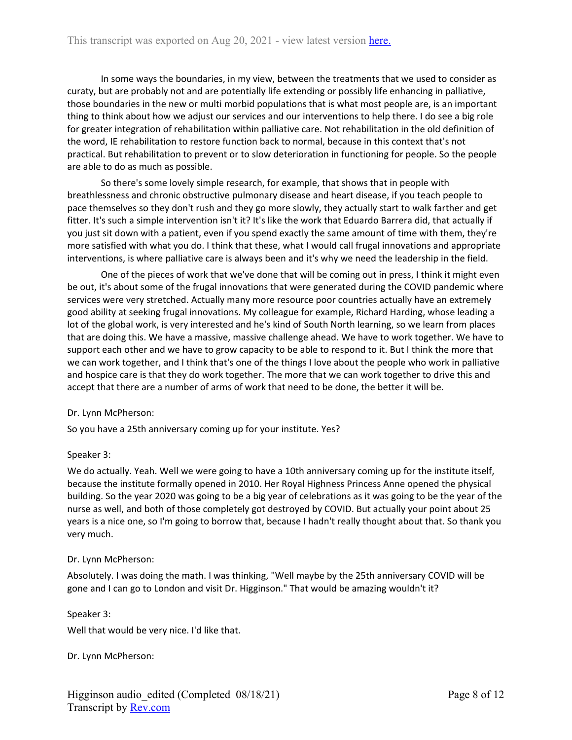In some ways the boundaries, in my view, between the treatments that we used to consider as curaty, but are probably not and are potentially life extending or possibly life enhancing in palliative, those boundaries in the new or multi morbid populations that is what most people are, is an important thing to think about how we adjust our services and our interventions to help there. I do see a big role for greater integration of rehabilitation within palliative care. Not rehabilitation in the old definition of the word, IE rehabilitation to restore function back to normal, because in this context that's not practical. But rehabilitation to prevent or to slow deterioration in functioning for people. So the people are able to do as much as possible.

So there's some lovely simple research, for example, that shows that in people with breathlessness and chronic obstructive pulmonary disease and heart disease, if you teach people to pace themselves so they don't rush and they go more slowly, they actually start to walk farther and get fitter. It's such a simple intervention isn't it? It's like the work that Eduardo Barrera did, that actually if you just sit down with a patient, even if you spend exactly the same amount of time with them, they're more satisfied with what you do. I think that these, what I would call frugal innovations and appropriate interventions, is where palliative care is always been and it's why we need the leadership in the field.

One of the pieces of work that we've done that will be coming out in press, I think it might even be out, it's about some of the frugal innovations that were generated during the COVID pandemic where services were very stretched. Actually many more resource poor countries actually have an extremely good ability at seeking frugal innovations. My colleague for example, Richard Harding, whose leading a lot of the global work, is very interested and he's kind of South North learning, so we learn from places that are doing this. We have a massive, massive challenge ahead. We have to work together. We have to support each other and we have to grow capacity to be able to respond to it. But I think the more that we can work together, and I think that's one of the things I love about the people who work in palliative and hospice care is that they do work together. The more that we can work together to drive this and accept that there are a number of arms of work that need to be done, the better it will be.

## Dr. Lynn McPherson:

So you have a 25th anniversary coming up for your institute. Yes?

## Speaker 3:

We do actually. Yeah. Well we were going to have a 10th anniversary coming up for the institute itself, because the institute formally opened in 2010. Her Royal Highness Princess Anne opened the physical building. So the year 2020 was going to be a big year of celebrations as it was going to be the year of the nurse as well, and both of those completely got destroyed by COVID. But actually your point about 25 years is a nice one, so I'm going to borrow that, because I hadn't really thought about that. So thank you very much.

## Dr. Lynn McPherson:

Absolutely. I was doing the math. I was thinking, "Well maybe by the 25th anniversary COVID will be gone and I can go to London and visit Dr. Higginson." That would be amazing wouldn't it?

## Speaker 3:

Well that would be very nice. I'd like that.

Dr. Lynn McPherson: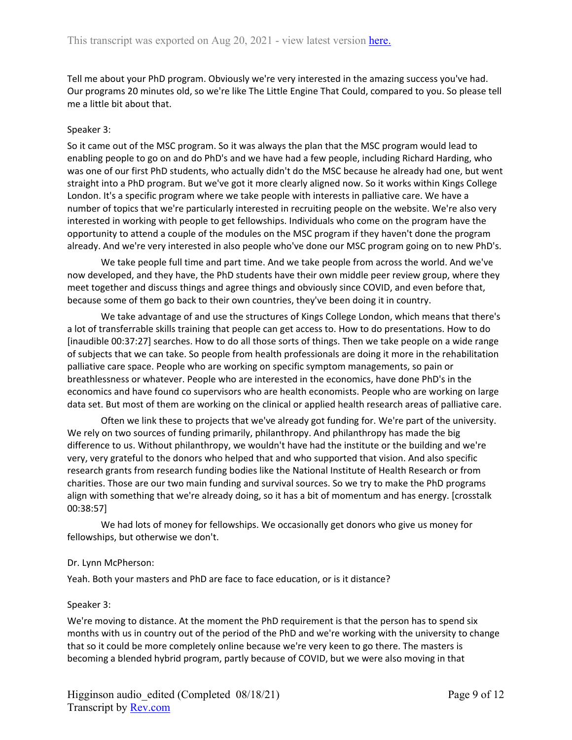Tell me about your PhD program. Obviously we're very interested in the amazing success you've had. Our programs 20 minutes old, so we're like The Little Engine That Could, compared to you. So please tell me a little bit about that.

## Speaker 3:

So it came out of the MSC program. So it was always the plan that the MSC program would lead to enabling people to go on and do PhD's and we have had a few people, including Richard Harding, who was one of our first PhD students, who actually didn't do the MSC because he already had one, but went straight into a PhD program. But we've got it more clearly aligned now. So it works within Kings College London. It's a specific program where we take people with interests in palliative care. We have a number of topics that we're particularly interested in recruiting people on the website. We're also very interested in working with people to get fellowships. Individuals who come on the program have the opportunity to attend a couple of the modules on the MSC program if they haven't done the program already. And we're very interested in also people who've done our MSC program going on to new PhD's.

We take people full time and part time. And we take people from across the world. And we've now developed, and they have, the PhD students have their own middle peer review group, where they meet together and discuss things and agree things and obviously since COVID, and even before that, because some of them go back to their own countries, they've been doing it in country.

We take advantage of and use the structures of Kings College London, which means that there's a lot of transferrable skills training that people can get access to. How to do presentations. How to do [inaudible 00:37:27] searches. How to do all those sorts of things. Then we take people on a wide range of subjects that we can take. So people from health professionals are doing it more in the rehabilitation palliative care space. People who are working on specific symptom managements, so pain or breathlessness or whatever. People who are interested in the economics, have done PhD's in the economics and have found co supervisors who are health economists. People who are working on large data set. But most of them are working on the clinical or applied health research areas of palliative care.

Often we link these to projects that we've already got funding for. We're part of the university. We rely on two sources of funding primarily, philanthropy. And philanthropy has made the big difference to us. Without philanthropy, we wouldn't have had the institute or the building and we're very, very grateful to the donors who helped that and who supported that vision. And also specific research grants from research funding bodies like the National Institute of Health Research or from charities. Those are our two main funding and survival sources. So we try to make the PhD programs align with something that we're already doing, so it has a bit of momentum and has energy. [crosstalk 00:38:57]

We had lots of money for fellowships. We occasionally get donors who give us money for fellowships, but otherwise we don't.

## Dr. Lynn McPherson:

Yeah. Both your masters and PhD are face to face education, or is it distance?

## Speaker 3:

We're moving to distance. At the moment the PhD requirement is that the person has to spend six months with us in country out of the period of the PhD and we're working with the university to change that so it could be more completely online because we're very keen to go there. The masters is becoming a blended hybrid program, partly because of COVID, but we were also moving in that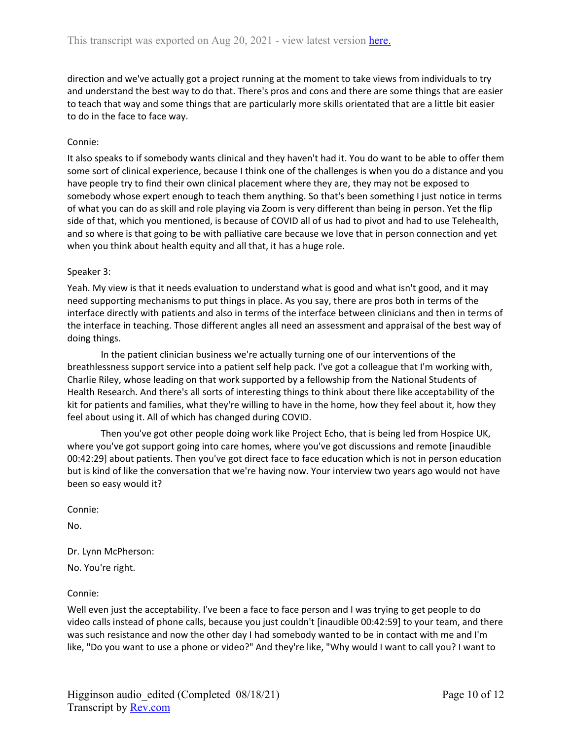direction and we've actually got a project running at the moment to take views from individuals to try and understand the best way to do that. There's pros and cons and there are some things that are easier to teach that way and some things that are particularly more skills orientated that are a little bit easier to do in the face to face way.

#### Connie:

It also speaks to if somebody wants clinical and they haven't had it. You do want to be able to offer them some sort of clinical experience, because I think one of the challenges is when you do a distance and you have people try to find their own clinical placement where they are, they may not be exposed to somebody whose expert enough to teach them anything. So that's been something I just notice in terms of what you can do as skill and role playing via Zoom is very different than being in person. Yet the flip side of that, which you mentioned, is because of COVID all of us had to pivot and had to use Telehealth, and so where is that going to be with palliative care because we love that in person connection and yet when you think about health equity and all that, it has a huge role.

#### Speaker 3:

Yeah. My view is that it needs evaluation to understand what is good and what isn't good, and it may need supporting mechanisms to put things in place. As you say, there are pros both in terms of the interface directly with patients and also in terms of the interface between clinicians and then in terms of the interface in teaching. Those different angles all need an assessment and appraisal of the best way of doing things.

In the patient clinician business we're actually turning one of our interventions of the breathlessness support service into a patient self help pack. I've got a colleague that I'm working with, Charlie Riley, whose leading on that work supported by a fellowship from the National Students of Health Research. And there's all sorts of interesting things to think about there like acceptability of the kit for patients and families, what they're willing to have in the home, how they feel about it, how they feel about using it. All of which has changed during COVID.

Then you've got other people doing work like Project Echo, that is being led from Hospice UK, where you've got support going into care homes, where you've got discussions and remote [inaudible 00:42:29] about patients. Then you've got direct face to face education which is not in person education but is kind of like the conversation that we're having now. Your interview two years ago would not have been so easy would it?

Connie:

No.

Dr. Lynn McPherson:

No. You're right.

Connie:

Well even just the acceptability. I've been a face to face person and I was trying to get people to do video calls instead of phone calls, because you just couldn't [inaudible 00:42:59] to your team, and there was such resistance and now the other day I had somebody wanted to be in contact with me and I'm like, "Do you want to use a phone or video?" And they're like, "Why would I want to call you? I want to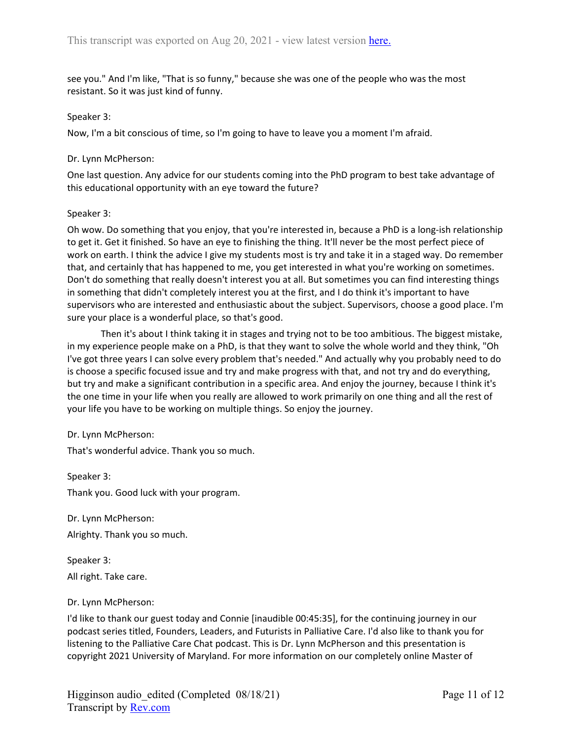see you." And I'm like, "That is so funny," because she was one of the people who was the most resistant. So it was just kind of funny.

#### Speaker 3:

Now, I'm a bit conscious of time, so I'm going to have to leave you a moment I'm afraid.

## Dr. Lynn McPherson:

One last question. Any advice for our students coming into the PhD program to best take advantage of this educational opportunity with an eye toward the future?

#### Speaker 3:

Oh wow. Do something that you enjoy, that you're interested in, because a PhD is a long-ish relationship to get it. Get it finished. So have an eye to finishing the thing. It'll never be the most perfect piece of work on earth. I think the advice I give my students most is try and take it in a staged way. Do remember that, and certainly that has happened to me, you get interested in what you're working on sometimes. Don't do something that really doesn't interest you at all. But sometimes you can find interesting things in something that didn't completely interest you at the first, and I do think it's important to have supervisors who are interested and enthusiastic about the subject. Supervisors, choose a good place. I'm sure your place is a wonderful place, so that's good.

Then it's about I think taking it in stages and trying not to be too ambitious. The biggest mistake, in my experience people make on a PhD, is that they want to solve the whole world and they think, "Oh I've got three years I can solve every problem that's needed." And actually why you probably need to do is choose a specific focused issue and try and make progress with that, and not try and do everything, but try and make a significant contribution in a specific area. And enjoy the journey, because I think it's the one time in your life when you really are allowed to work primarily on one thing and all the rest of your life you have to be working on multiple things. So enjoy the journey.

## Dr. Lynn McPherson:

That's wonderful advice. Thank you so much.

Speaker 3:

Thank you. Good luck with your program.

Dr. Lynn McPherson: Alrighty. Thank you so much.

Speaker 3: All right. Take care.

## Dr. Lynn McPherson:

I'd like to thank our guest today and Connie [inaudible 00:45:35], for the continuing journey in our podcast series titled, Founders, Leaders, and Futurists in Palliative Care. I'd also like to thank you for listening to the Palliative Care Chat podcast. This is Dr. Lynn McPherson and this presentation is copyright 2021 University of Maryland. For more information on our completely online Master of